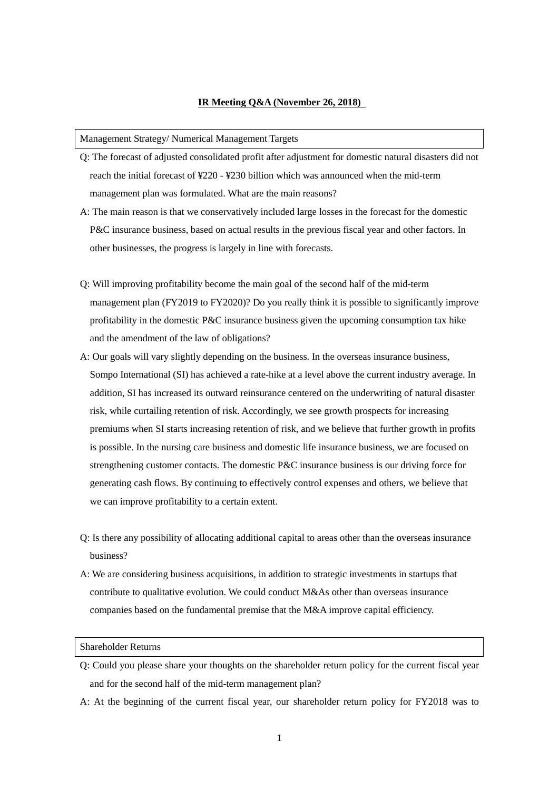## **IR Meeting Q&A (November 26, 2018)**

#### Management Strategy/ Numerical Management Targets

- Q: The forecast of adjusted consolidated profit after adjustment for domestic natural disasters did not reach the initial forecast of ¥220 - ¥230 billion which was announced when the mid-term management plan was formulated. What are the main reasons?
- A: The main reason is that we conservatively included large losses in the forecast for the domestic P&C insurance business, based on actual results in the previous fiscal year and other factors. In other businesses, the progress is largely in line with forecasts.
- Q: Will improving profitability become the main goal of the second half of the mid-term management plan (FY2019 to FY2020)? Do you really think it is possible to significantly improve profitability in the domestic P&C insurance business given the upcoming consumption tax hike and the amendment of the law of obligations?
- A: Our goals will vary slightly depending on the business. In the overseas insurance business, Sompo International (SI) has achieved a rate-hike at a level above the current industry average. In addition, SI has increased its outward reinsurance centered on the underwriting of natural disaster risk, while curtailing retention of risk. Accordingly, we see growth prospects for increasing premiums when SI starts increasing retention of risk, and we believe that further growth in profits is possible. In the nursing care business and domestic life insurance business, we are focused on strengthening customer contacts. The domestic P&C insurance business is our driving force for generating cash flows. By continuing to effectively control expenses and others, we believe that we can improve profitability to a certain extent.
- Q: Is there any possibility of allocating additional capital to areas other than the overseas insurance business?
- A: We are considering business acquisitions, in addition to strategic investments in startups that contribute to qualitative evolution. We could conduct M&As other than overseas insurance companies based on the fundamental premise that the M&A improve capital efficiency.

### Shareholder Returns

- Q: Could you please share your thoughts on the shareholder return policy for the current fiscal year and for the second half of the mid-term management plan?
- A: At the beginning of the current fiscal year, our shareholder return policy for FY2018 was to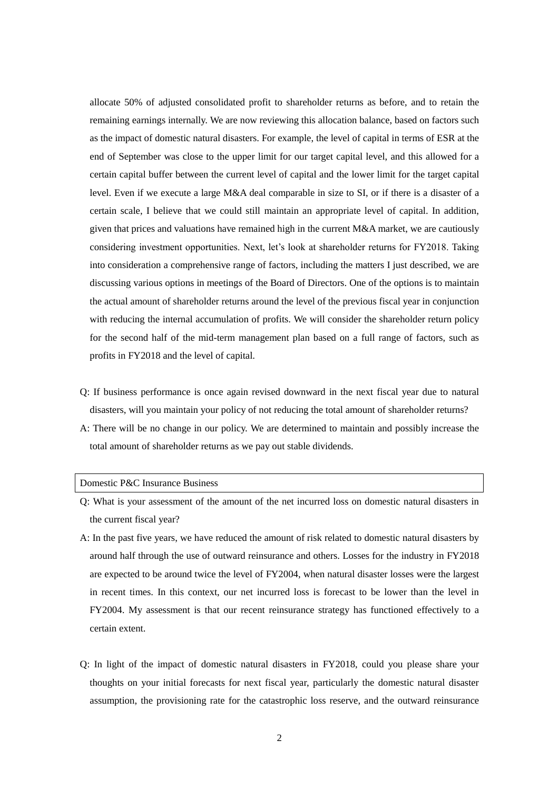allocate 50% of adjusted consolidated profit to shareholder returns as before, and to retain the remaining earnings internally. We are now reviewing this allocation balance, based on factors such as the impact of domestic natural disasters. For example, the level of capital in terms of ESR at the end of September was close to the upper limit for our target capital level, and this allowed for a certain capital buffer between the current level of capital and the lower limit for the target capital level. Even if we execute a large M&A deal comparable in size to SI, or if there is a disaster of a certain scale, I believe that we could still maintain an appropriate level of capital. In addition, given that prices and valuations have remained high in the current M&A market, we are cautiously considering investment opportunities. Next, let's look at shareholder returns for FY2018. Taking into consideration a comprehensive range of factors, including the matters I just described, we are discussing various options in meetings of the Board of Directors. One of the options is to maintain the actual amount of shareholder returns around the level of the previous fiscal year in conjunction with reducing the internal accumulation of profits. We will consider the shareholder return policy for the second half of the mid-term management plan based on a full range of factors, such as profits in FY2018 and the level of capital.

- Q: If business performance is once again revised downward in the next fiscal year due to natural disasters, will you maintain your policy of not reducing the total amount of shareholder returns?
- A: There will be no change in our policy. We are determined to maintain and possibly increase the total amount of shareholder returns as we pay out stable dividends.

### Domestic P&C Insurance Business

- Q: What is your assessment of the amount of the net incurred loss on domestic natural disasters in the current fiscal year?
- A: In the past five years, we have reduced the amount of risk related to domestic natural disasters by around half through the use of outward reinsurance and others. Losses for the industry in FY2018 are expected to be around twice the level of FY2004, when natural disaster losses were the largest in recent times. In this context, our net incurred loss is forecast to be lower than the level in FY2004. My assessment is that our recent reinsurance strategy has functioned effectively to a certain extent.
- Q: In light of the impact of domestic natural disasters in FY2018, could you please share your thoughts on your initial forecasts for next fiscal year, particularly the domestic natural disaster assumption, the provisioning rate for the catastrophic loss reserve, and the outward reinsurance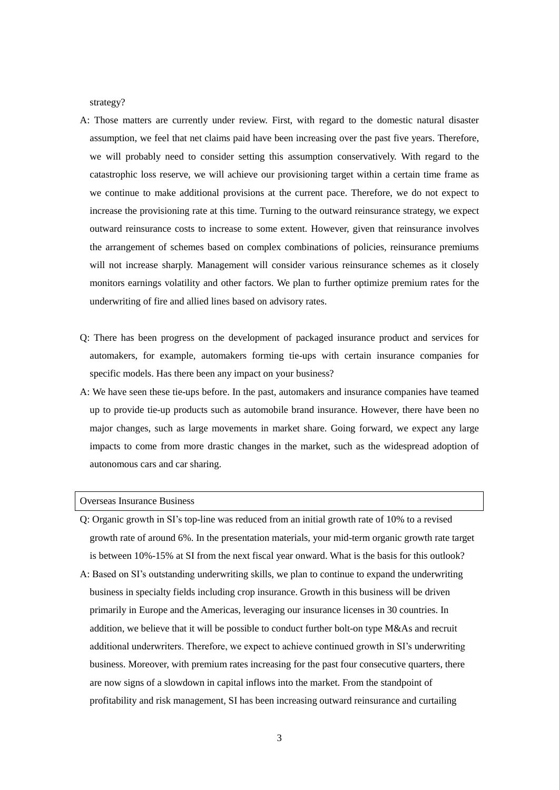strategy?

- A: Those matters are currently under review. First, with regard to the domestic natural disaster assumption, we feel that net claims paid have been increasing over the past five years. Therefore, we will probably need to consider setting this assumption conservatively. With regard to the catastrophic loss reserve, we will achieve our provisioning target within a certain time frame as we continue to make additional provisions at the current pace. Therefore, we do not expect to increase the provisioning rate at this time. Turning to the outward reinsurance strategy, we expect outward reinsurance costs to increase to some extent. However, given that reinsurance involves the arrangement of schemes based on complex combinations of policies, reinsurance premiums will not increase sharply. Management will consider various reinsurance schemes as it closely monitors earnings volatility and other factors. We plan to further optimize premium rates for the underwriting of fire and allied lines based on advisory rates.
- Q: There has been progress on the development of packaged insurance product and services for automakers, for example, automakers forming tie-ups with certain insurance companies for specific models. Has there been any impact on your business?
- A: We have seen these tie-ups before. In the past, automakers and insurance companies have teamed up to provide tie-up products such as automobile brand insurance. However, there have been no major changes, such as large movements in market share. Going forward, we expect any large impacts to come from more drastic changes in the market, such as the widespread adoption of autonomous cars and car sharing.

# Overseas Insurance Business

- Q: Organic growth in SI's top-line was reduced from an initial growth rate of 10% to a revised growth rate of around 6%. In the presentation materials, your mid-term organic growth rate target is between 10%-15% at SI from the next fiscal year onward. What is the basis for this outlook?
- A: Based on SI's outstanding underwriting skills, we plan to continue to expand the underwriting business in specialty fields including crop insurance. Growth in this business will be driven primarily in Europe and the Americas, leveraging our insurance licenses in 30 countries. In addition, we believe that it will be possible to conduct further bolt-on type M&As and recruit additional underwriters. Therefore, we expect to achieve continued growth in SI's underwriting business. Moreover, with premium rates increasing for the past four consecutive quarters, there are now signs of a slowdown in capital inflows into the market. From the standpoint of profitability and risk management, SI has been increasing outward reinsurance and curtailing